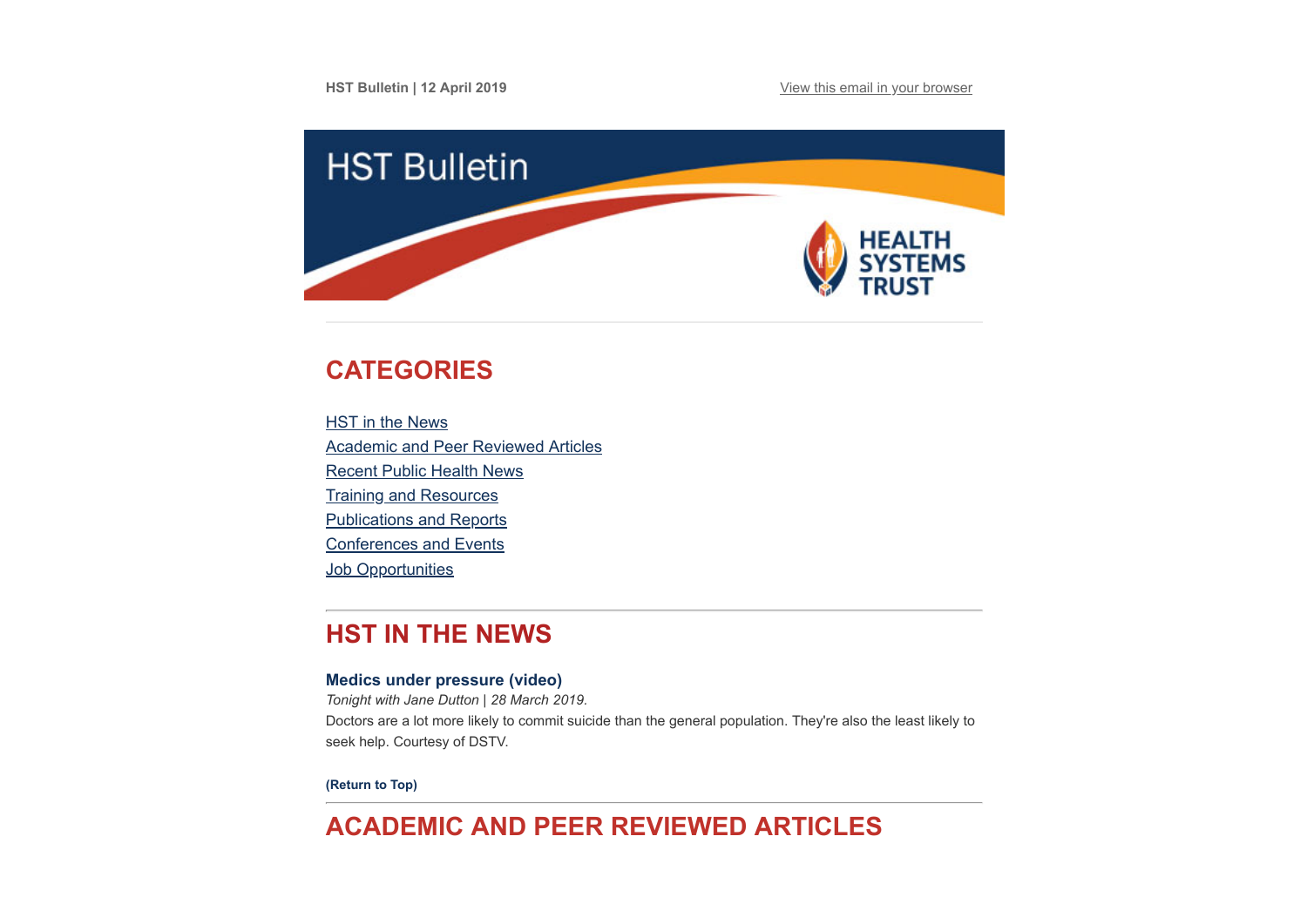**HST Bulletin | 12 April 2019 [View this email in your browser](https://mailchi.mp/e8e4f9707c62/hst-bulletin-21-april-745109?e=[UNIQID])** 



# <span id="page-0-1"></span>**CATEGORIES**

**HST** in the News [Academic and Peer Reviewed Articles](#page-0-0) [Recent Public Health News](#page-2-0) [Training and Resources](#page-3-0) [Publications and Reports](#page-4-0) [Conferences and Events](#page-4-1) **Job Opportunities** 

# **HST IN THE NEWS**

## **[Medics under pressure \(video\)](https://www.youtube.com/watch?v=kksAlppNp7U)**

*Tonight with Jane Dutton | 28 March 2019.* Doctors are a lot more likely to commit suicide than the general population. They're also the least likely to seek help. Courtesy of DSTV.

**[\(Return to Top\)](#page-0-1)**

# <span id="page-0-0"></span>**ACADEMIC AND PEER REVIEWED ARTICLES**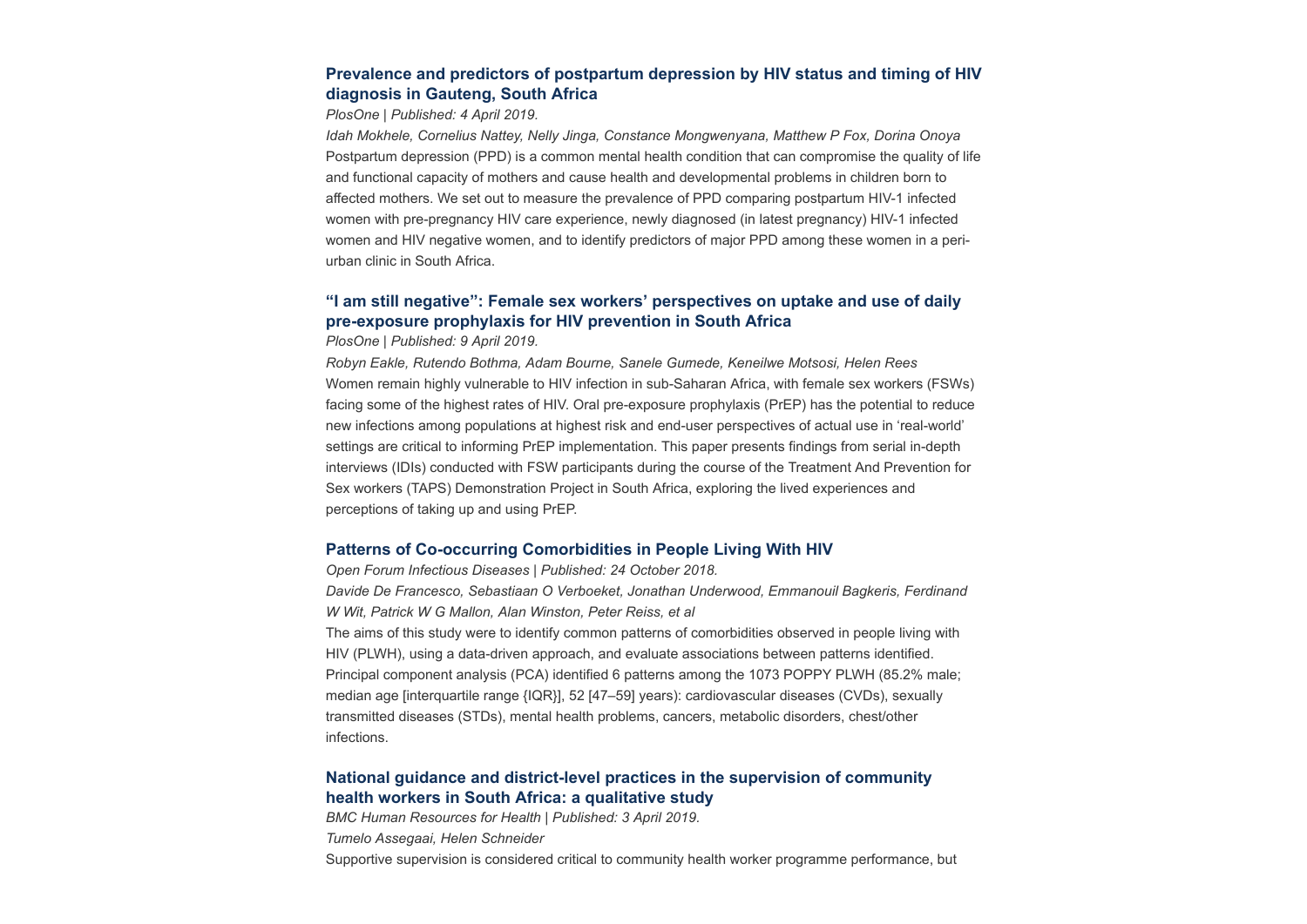## **[Prevalence and predictors of postpartum depression by HIV status and timing of HIV](https://journals.plos.org/plosone/article?id=10.1371/journal.pone.0214849) diagnosis in Gauteng, South Africa**

### *PlosOne | Published: 4 April 2019.*

*Idah Mokhele, Cornelius Nattey, Nelly Jinga, Constance Mongwenyana, Matthew P Fox, Dorina Onoya* Postpartum depression (PPD) is a common mental health condition that can compromise the quality of life and functional capacity of mothers and cause health and developmental problems in children born to affected mothers. We set out to measure the prevalence of PPD comparing postpartum HIV-1 infected women with pre-pregnancy HIV care experience, newly diagnosed (in latest pregnancy) HIV-1 infected women and HIV negative women, and to identify predictors of major PPD among these women in a periurban clinic in South Africa.

## **["I am still negative": Female sex workers' perspectives on uptake and use of daily](https://journals.plos.org/plosone/article?id=10.1371/journal.pone.0212271) pre-exposure prophylaxis for HIV prevention in South Africa**

*PlosOne | Published: 9 April 2019.*

*Robyn Eakle, Rutendo Bothma, Adam Bourne, Sanele Gumede, Keneilwe Motsosi, Helen Rees* Women remain highly vulnerable to HIV infection in sub-Saharan Africa, with female sex workers (FSWs) facing some of the highest rates of HIV. Oral pre-exposure prophylaxis (PrEP) has the potential to reduce new infections among populations at highest risk and end-user perspectives of actual use in 'real-world' settings are critical to informing PrEP implementation. This paper presents findings from serial in-depth interviews (IDIs) conducted with FSW participants during the course of the Treatment And Prevention for Sex workers (TAPS) Demonstration Project in South Africa, exploring the lived experiences and perceptions of taking up and using PrEP.

### **[Patterns of Co-occurring Comorbidities in People Living With HIV](https://academic.oup.com/ofid/article/5/11/ofy272/5144106)**

*Open Forum Infectious Diseases | Published: 24 October 2018. Davide De Francesco, Sebastiaan O Verboeket, Jonathan Underwood, Emmanouil Bagkeris, Ferdinand W Wit, Patrick W G Mallon, Alan Winston, Peter Reiss, et al* The aims of this study were to identify common patterns of comorbidities observed in people living with HIV (PLWH), using a data-driven approach, and evaluate associations between patterns identified. Principal component analysis (PCA) identified 6 patterns among the 1073 POPPY PLWH (85.2% male; median age [interquartile range {IQR}], 52 [47–59] years): cardiovascular diseases (CVDs), sexually transmitted diseases (STDs), mental health problems, cancers, metabolic disorders, chest/other infections.

## **[National guidance and district-level practices in the supervision of community](https://human-resources-health.biomedcentral.com/articles/10.1186/s12960-019-0360-x) health workers in South Africa: a qualitative study**

*BMC Human Resources for Health | Published: 3 April 2019. Tumelo Assegaai, Helen Schneider*

Supportive supervision is considered critical to community health worker programme performance, but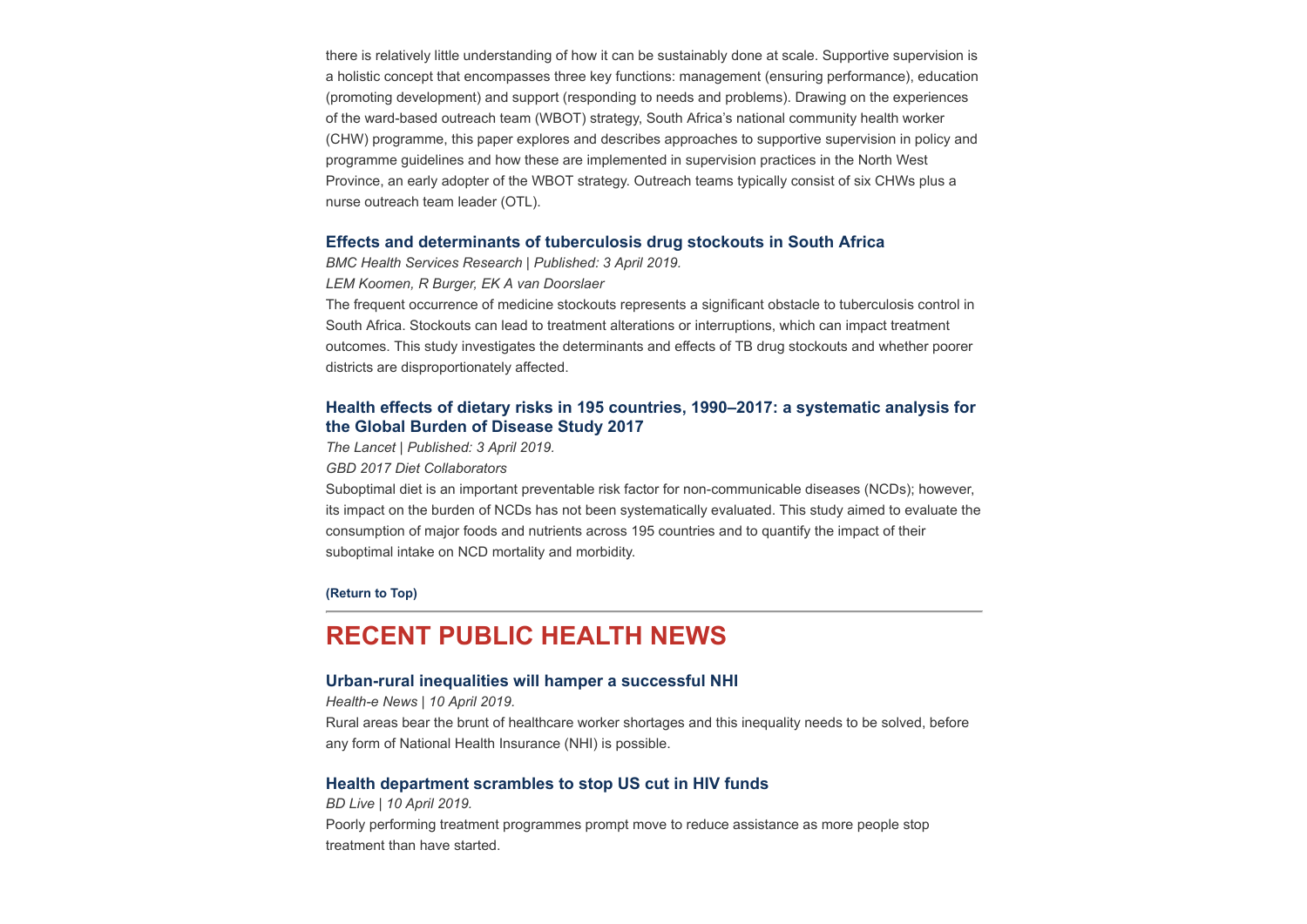there is relatively little understanding of how it can be sustainably done at scale. Supportive supervision is a holistic concept that encompasses three key functions: management (ensuring performance), education (promoting development) and support (responding to needs and problems). Drawing on the experiences of the ward-based outreach team (WBOT) strategy, South Africa's national community health worker (CHW) programme, this paper explores and describes approaches to supportive supervision in policy and programme guidelines and how these are implemented in supervision practices in the North West Province, an early adopter of the WBOT strategy. Outreach teams typically consist of six CHWs plus a nurse outreach team leader (OTL).

## **[Effects and determinants of tuberculosis drug stockouts in South Africa](https://bmchealthservres.biomedcentral.com/articles/10.1186/s12913-019-3972-x)**

*BMC Health Services Research | Published: 3 April 2019.*

*LEM Koomen, R Burger, EK A van Doorslaer*

The frequent occurrence of medicine stockouts represents a significant obstacle to tuberculosis control in South Africa. Stockouts can lead to treatment alterations or interruptions, which can impact treatment outcomes. This study investigates the determinants and effects of TB drug stockouts and whether poorer districts are disproportionately affected.

## **[Health effects of dietary risks in 195 countries, 1990–2017: a systematic analysis for](https://www.thelancet.com/journals/lancet/article/PIIS0140-6736(19)30041-8/fulltext#%20) the Global Burden of Disease Study 2017**

*The Lancet | Published: 3 April 2019.*

*GBD 2017 Diet Collaborators*

Suboptimal diet is an important preventable risk factor for non-communicable diseases (NCDs); however, its impact on the burden of NCDs has not been systematically evaluated. This study aimed to evaluate the consumption of major foods and nutrients across 195 countries and to quantify the impact of their suboptimal intake on NCD mortality and morbidity.

#### **[\(Return to Top\)](#page-0-1)**

## <span id="page-2-0"></span>**RECENT PUBLIC HEALTH NEWS**

#### **[Urban-rural inequalities will hamper a successful NHI](https://www.health-e.org.za/2019/04/10/rural-versus-urban-towards-a-nhi/)**

*Health-e News | 10 April 2019.*

Rural areas bear the brunt of healthcare worker shortages and this inequality needs to be solved, before any form of National Health Insurance (NHI) is possible.

## **[Health department scrambles to stop US cut in HIV funds](https://www.businesslive.co.za/bd/national/health/2019-04-10-health-department-scrambles-to-stop-us-cut-in-hiv-funds/)**

#### *BD Live | 10 April 2019.*

Poorly performing treatment programmes prompt move to reduce assistance as more people stop treatment than have started.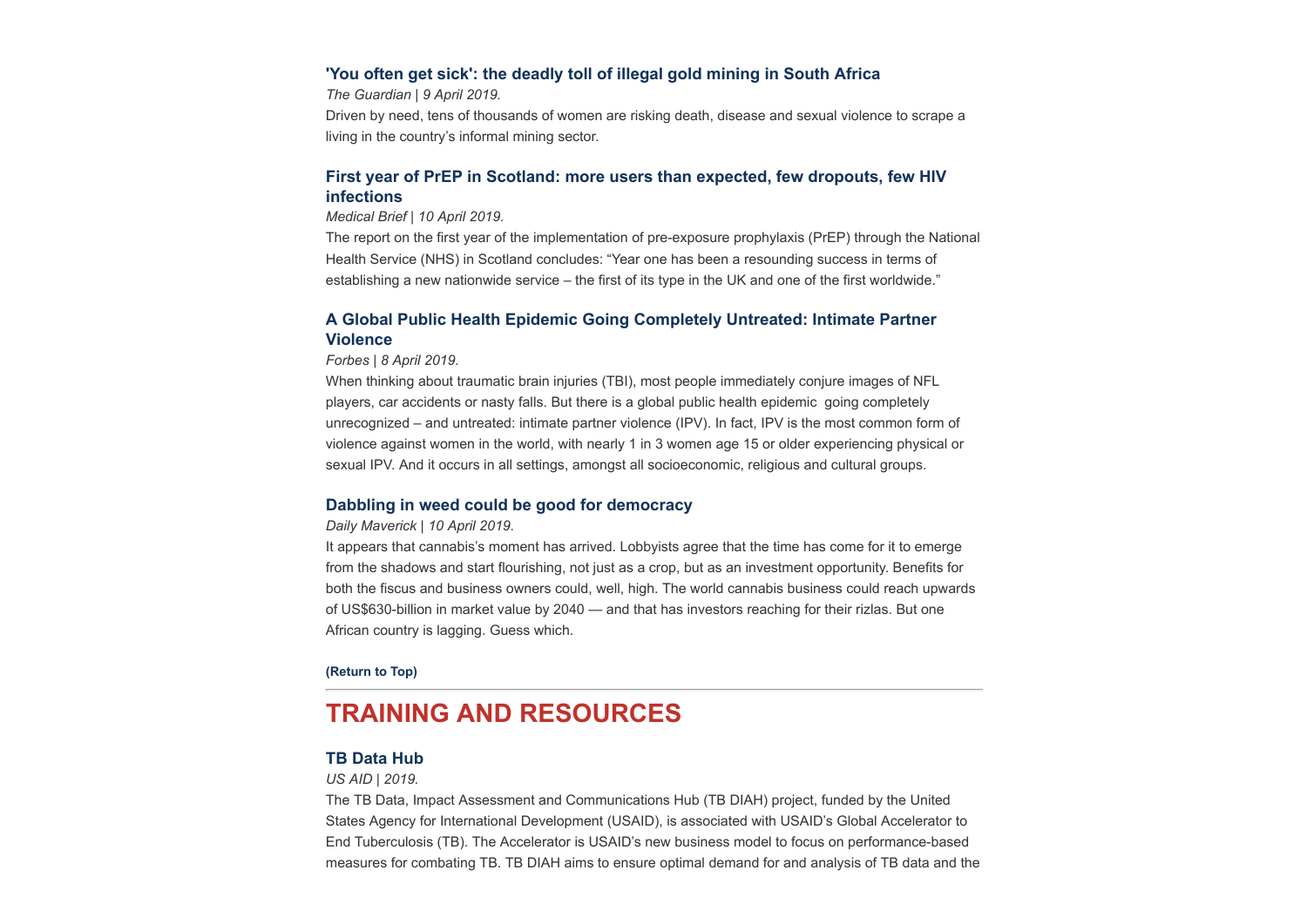### **['You often get sick': the deadly toll of illegal gold mining in South Africa](https://www.theguardian.com/global-development/2019/apr/09/you-often-get-sick-deadly-toll-illegal-gold-mining-south-africa-durban-deep?utm_source=Global+Health+NOW+Main+List&utm_campaign=44211f6398-EMAIL_CAMPAIGN_2019_04_09_10_21&utm_medium=email&utm_term=0_8d0d062dbd-44211f6398-2811001)**

*The Guardian | 9 April 2019.*

Driven by need, tens of thousands of women are risking death, disease and sexual violence to scrape a living in the country's informal mining sector.

## **[First year of PrEP in Scotland: more users than expected, few dropouts, few HIV](https://www.medicalbrief.co.za/archives/first-year-prep-scotland-users-expected-dropouts-hiv-infections/) infections**

### *Medical Brief | 10 April 2019.*

The report on the first year of the implementation of pre-exposure prophylaxis (PrEP) through the National Health Service (NHS) in Scotland concludes: "Year one has been a resounding success in terms of establishing a new nationwide service – the first of its type in the UK and one of the first worldwide."

## **[A Global Public Health Epidemic Going Completely Untreated: Intimate Partner](https://www.forbes.com/sites/nicolefisher/2019/04/08/a-global-public-health-epidemic-going-completely-untreated-intimate-partner-violence/?utm_source=Global%2BHealth%2BNOW%2BMain%2BList&utm_campaign=44211f6398-EMAIL_CAMPAIGN_2019_04_09_10_21&utm_medium=email&utm_term=0_8d0d062dbd-44211f6398-2811001#53d5b2291701) Violence**

#### *Forbes | 8 April 2019.*

When thinking about traumatic brain injuries (TBI), most people immediately conjure images of NFL players, car accidents or nasty falls. But there is a global public health epidemic going completely unrecognized – and untreated: intimate partner violence (IPV). In fact, IPV is the most common form of violence against women in the world, with nearly 1 in 3 women age 15 or older experiencing physical or sexual IPV. And it occurs in all settings, amongst all socioeconomic, religious and cultural groups.

### **[Dabbling in weed could be good for democracy](https://www.dailymaverick.co.za/article/2019-04-10-dabbling-in-weed-could-be-good-for-democracy/)**

#### *Daily Maverick | 10 April 2019.*

It appears that cannabis's moment has arrived. Lobbyists agree that the time has come for it to emerge from the shadows and start flourishing, not just as a crop, but as an investment opportunity. Benefits for both the fiscus and business owners could, well, high. The world cannabis business could reach upwards of US\$630-billion in market value by 2040 — and that has investors reaching for their rizlas. But one African country is lagging. Guess which.

#### **[\(Return to Top\)](#page-0-1)**

## <span id="page-3-0"></span>**TRAINING AND RESOURCES**

## **[TB Data Hub](https://www.tbdiah.org/)**

#### *US AID | 2019.*

The TB Data, Impact Assessment and Communications Hub (TB DIAH) project, funded by the United States Agency for International Development (USAID), is associated with USAID's Global Accelerator to End Tuberculosis (TB). The Accelerator is USAID's new business model to focus on performance-based measures for combating TB. TB DIAH aims to ensure optimal demand for and analysis of TB data and the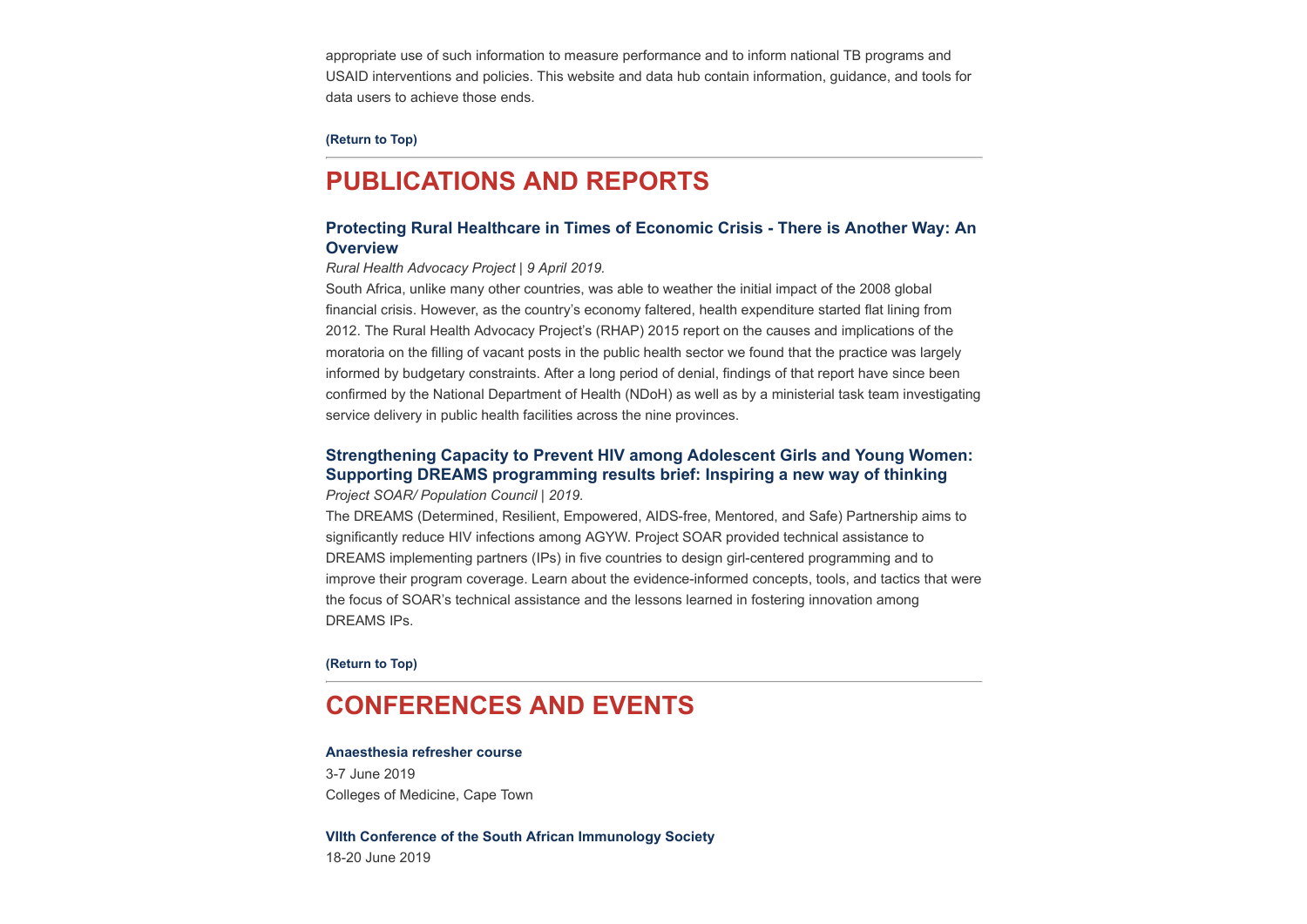appropriate use of such information to measure performance and to inform national TB programs and USAID interventions and policies. This website and data hub contain information, guidance, and tools for data users to achieve those ends.

#### **[\(Return to Top\)](#page-0-1)**

## <span id="page-4-0"></span>**PUBLICATIONS AND REPORTS**

## **[Protecting Rural Healthcare in Times of Economic Crisis - There is Another Way: An](https://www.groundup.org.za/media/uploads/documents/Austerity%20report_FINAL.pdf) Overview**

*Rural Health Advocacy Project | 9 April 2019.*

South Africa, unlike many other countries, was able to weather the initial impact of the 2008 global financial crisis. However, as the country's economy faltered, health expenditure started flat lining from 2012. The Rural Health Advocacy Project's (RHAP) 2015 report on the causes and implications of the moratoria on the filling of vacant posts in the public health sector we found that the practice was largely informed by budgetary constraints. After a long period of denial, findings of that report have since been confirmed by the National Department of Health (NDoH) as well as by a ministerial task team investigating service delivery in public health facilities across the nine provinces.

## **[Strengthening Capacity to Prevent HIV among Adolescent Girls and Young Women:](http://www.projsoar.org/wp-content/uploads/2019/03/Glbl_DREAMS_TA_FinalBrief.pdf) Supporting DREAMS programming results brief: Inspiring a new way of thinking**

*Project SOAR/ Population Council | 2019.*

The DREAMS (Determined, Resilient, Empowered, AIDS-free, Mentored, and Safe) Partnership aims to significantly reduce HIV infections among AGYW. Project SOAR provided technical assistance to DREAMS implementing partners (IPs) in five countries to design girl-centered programming and to improve their program coverage. Learn about the evidence-informed concepts, tools, and tactics that were the focus of SOAR's technical assistance and the lessons learned in fostering innovation among DREAMS IPs.

**[\(Return to Top\)](#page-0-1)**

## <span id="page-4-1"></span>**CONFERENCES AND EVENTS**

#### **[Anaesthesia refresher course](http://www.hst.org.za/Lists/HST%20Events/DispForm.aspx?ID=52)**

3-7 June 2019 Colleges of Medicine, Cape Town

**[VIIth Conference of the South African Immunology Society](http://www.hst.org.za/Lists/HST%20Events/DispForm.aspx?ID=54)** 18-20 June 2019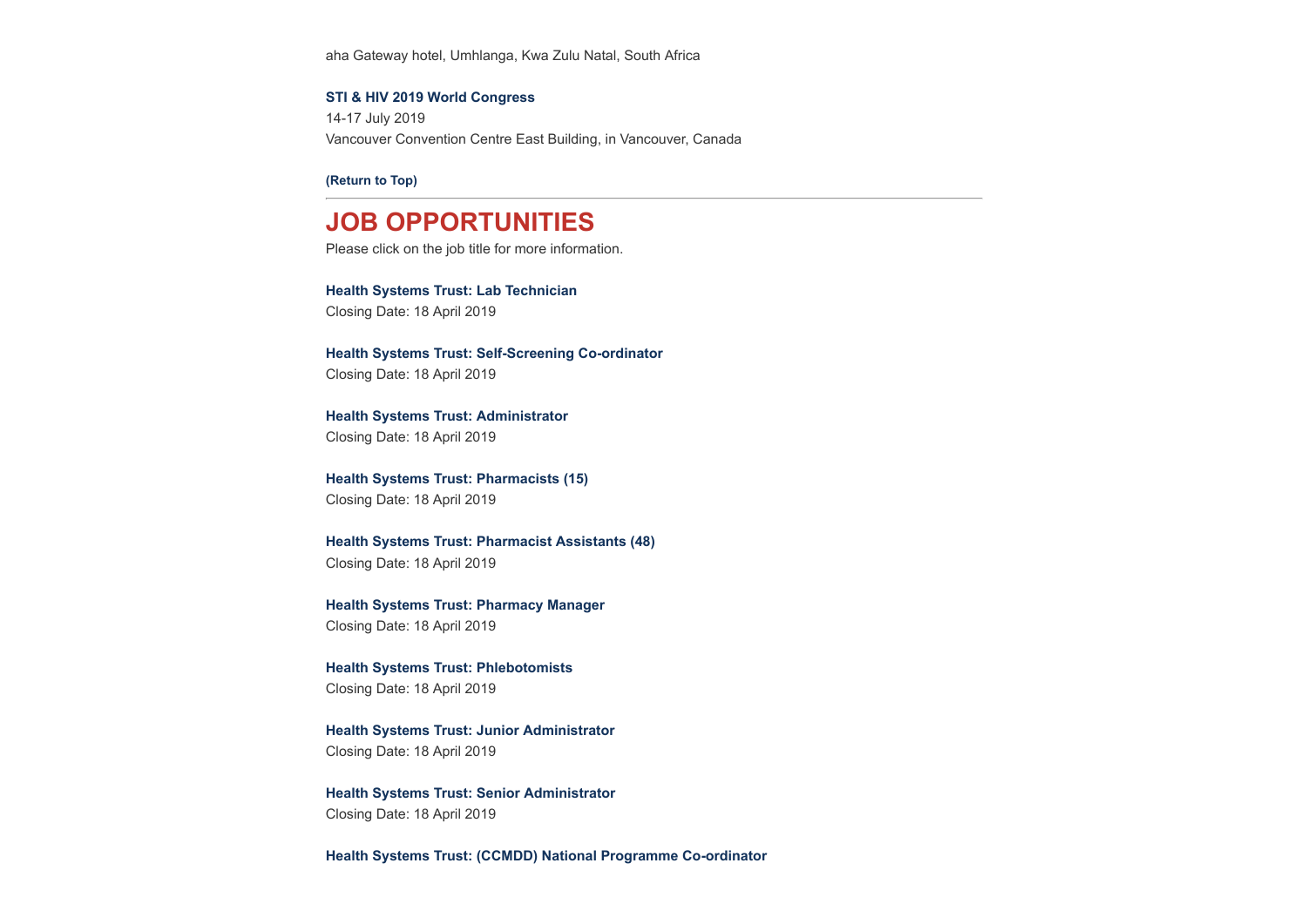aha Gateway hotel, Umhlanga, Kwa Zulu Natal, South Africa

### **[STI & HIV 2019 World Congress](http://www.hst.org.za/Lists/HST%20Events/DispForm.aspx?ID=43)**

14-17 July 2019 Vancouver Convention Centre East Building, in Vancouver, Canada

**[\(Return to Top\)](#page-0-1)**

## **JOB OPPORTUNITIES**

Please click on the job title for more information.

### **[Health Systems Trust: Lab Technician](http://www.hst.org.za/Pages/Lab-Technician-.aspx)**

Closing Date: 18 April 2019

**[Health Systems Trust: Self-Screening Co-ordinator](http://www.hst.org.za/Pages/Self-Screening-Co-ordinator.aspx)** Closing Date: 18 April 2019

**[Health Systems Trust: Administrator](http://www.hst.org.za/Pages/Administrator.aspx)** Closing Date: 18 April 2019

**[Health Systems Trust: Pharmacists \(15\)](http://www.hst.org.za/Pages/Pharmacists.aspx)** Closing Date: 18 April 2019

**[Health Systems Trust: Pharmacist Assistants \(48\)](http://www.hst.org.za/Pages/Pharmacist-Assistants.aspx)** Closing Date: 18 April 2019

**[Health Systems Trust: Pharmacy Manager](http://www.hst.org.za/Pages/Pharmacy-Manager.aspx)** Closing Date: 18 April 2019

**[Health Systems Trust: Phlebotomists](http://www.hst.org.za/Pages/Phlebotomists.aspx)** Closing Date: 18 April 2019

**[Health Systems Trust: Junior Administrator](http://www.hst.org.za/Pages/Junior-Administrator-.aspx)** Closing Date: 18 April 2019

**[Health Systems Trust: Senior Administrator](http://www.hst.org.za/Pages/Senior-Administrator-.aspx)** Closing Date: 18 April 2019

**[Health Systems Trust: \(CCMDD\) National Programme Co-ordinator](http://www.hst.org.za/Pages/CCMDD-National-Programme-Co-ordinator-.aspx)**